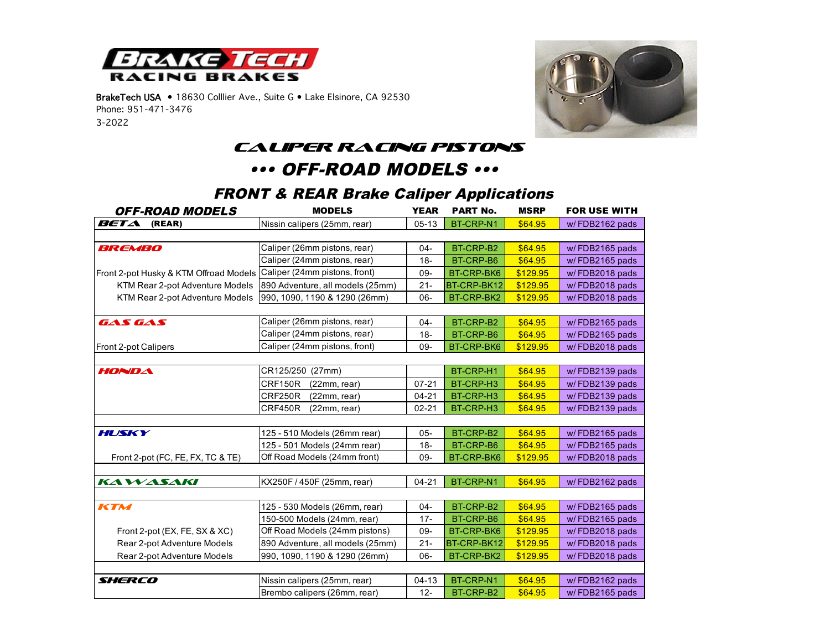

BrakeTech USA • 18630 Colllier Ave., Suite G • Lake Elsinore, CA 92530 Phone: 951-471-3476 3-2022



#### *Caliper Racing Pistons*

## ••• OFF-ROAD MODELS •••

| <b>OFF-ROAD MODELS</b>                 | <b>MODELS</b>                    | <b>YEAR</b> | <b>PART No.</b> | <b>MSRP</b> | <b>FOR USE WITH</b> |
|----------------------------------------|----------------------------------|-------------|-----------------|-------------|---------------------|
| BETA<br>(REAR)                         | Nissin calipers (25mm, rear)     | $05-13$     | BT-CRP-N1       | \$64.95     | w/FDB2162 pads      |
|                                        |                                  |             |                 |             |                     |
| BREMBO                                 | Caliper (26mm pistons, rear)     | $04 -$      | BT-CRP-B2       | \$64.95     | w/FDB2165 pads      |
|                                        | Caliper (24mm pistons, rear)     | $18 -$      | BT-CRP-B6       | \$64.95     | w/FDB2165 pads      |
| Front 2-pot Husky & KTM Offroad Models | Caliper (24mm pistons, front)    | 09-         | BT-CRP-BK6      | \$129.95    | w/FDB2018 pads      |
| KTM Rear 2-pot Adventure Models        | 890 Adventure, all models (25mm) | $21 -$      | BT-CRP-BK12     | \$129.95    | w/FDB2018 pads      |
| KTM Rear 2-pot Adventure Models        | 990, 1090, 1190 & 1290 (26mm)    | 06-         | BT-CRP-BK2      | \$129.95    | w/FDB2018 pads      |
|                                        |                                  |             |                 |             |                     |
| GAS GAS                                | Caliper (26mm pistons, rear)     | $04 -$      | BT-CRP-B2       | \$64.95     | w/FDB2165 pads      |
|                                        | Caliper (24mm pistons, rear)     | $18 -$      | BT-CRP-B6       | \$64.95     | w/FDB2165 pads      |
| Front 2-pot Calipers                   | Caliper (24mm pistons, front)    | 09-         | BT-CRP-BK6      | \$129.95    | w/FDB2018 pads      |
|                                        |                                  |             |                 |             |                     |
| HONDA                                  | CR125/250 (27mm)                 |             | BT-CRP-H1       | \$64.95     | w/FDB2139 pads      |
|                                        | CRF150R<br>(22mm, rear)          | $07 - 21$   | BT-CRP-H3       | \$64.95     | w/FDB2139 pads      |
|                                        | CRF250R<br>(22mm, rear)          | $04 - 21$   | BT-CRP-H3       | \$64.95     | w/FDB2139 pads      |
|                                        | CRF450R<br>(22mm, rear)          | $02 - 21$   | BT-CRP-H3       | \$64.95     | w/FDB2139 pads      |
|                                        |                                  |             |                 |             |                     |
| HUSKY                                  | 125 - 510 Models (26mm rear)     | $05 -$      | BT-CRP-B2       | \$64.95     | w/FDB2165 pads      |
|                                        | 125 - 501 Models (24mm rear)     | $18 -$      | BT-CRP-B6       | \$64.95     | w/FDB2165 pads      |
| Front 2-pot (FC, FE, FX, TC & TE)      | Off Road Models (24mm front)     | 09-         | BT-CRP-BK6      | \$129.95    | w/FDB2018 pads      |
|                                        |                                  |             |                 |             |                     |
| <b>KAWASAKI</b>                        | KX250F / 450F (25mm, rear)       | $04 - 21$   | BT-CRP-N1       | \$64.95     | w/FDB2162 pads      |
|                                        |                                  |             |                 |             |                     |
| KTM                                    | 125 - 530 Models (26mm, rear)    | $04 -$      | BT-CRP-B2       | \$64.95     | w/FDB2165 pads      |
|                                        | 150-500 Models (24mm, rear)      | $17 -$      | BT-CRP-B6       | \$64.95     | w/FDB2165 pads      |
| Front 2-pot (EX, FE, SX & XC)          | Off Road Models (24mm pistons)   | $09 -$      | BT-CRP-BK6      | \$129.95    | w/FDB2018 pads      |
| Rear 2-pot Adventure Models            | 890 Adventure, all models (25mm) |             | BT-CRP-BK12     | \$129.95    | w/FDB2018 pads      |
| Rear 2-pot Adventure Models            | 990, 1090, 1190 & 1290 (26mm)    | 06-         | BT-CRP-BK2      | \$129.95    | w/FDB2018 pads      |
|                                        |                                  |             |                 |             |                     |
| SHERCO                                 | Nissin calipers (25mm, rear)     | $04-13$     | BT-CRP-N1       | \$64.95     | w/FDB2162 pads      |
|                                        | Brembo calipers (26mm, rear)     | $12 -$      | BT-CRP-B2       | \$64.95     | w/FDB2165 pads      |

### FRONT & REAR Brake Caliper Applications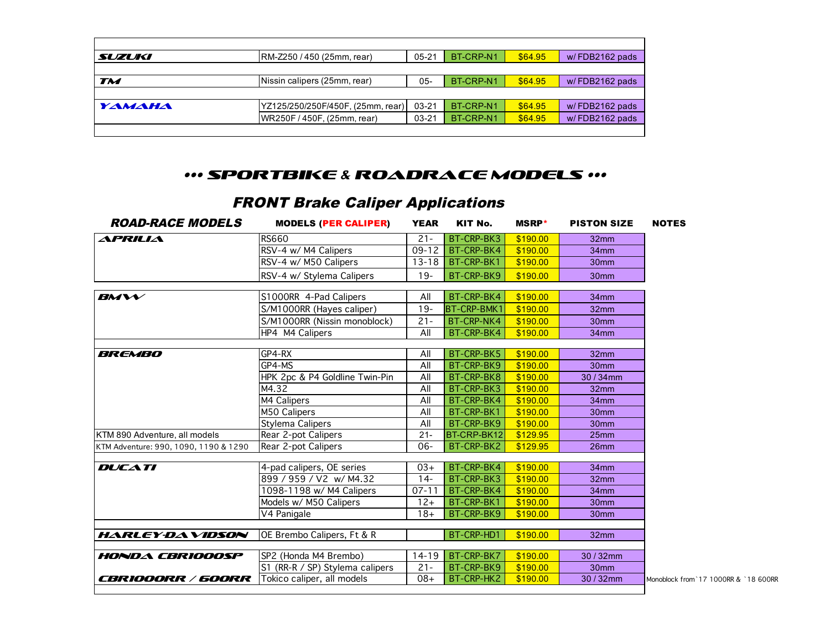| SUZUKI    | RM-Z250 / 450 (25mm, rear)        | 05-21     | BT-CRP-N1 | \$64.95 | w/FDB2162 pads |
|-----------|-----------------------------------|-----------|-----------|---------|----------------|
|           |                                   |           |           |         |                |
| <b>TM</b> | Nissin calipers (25mm, rear)      | $05 -$    | BT-CRP-N1 | \$64.95 | w/FDB2162 pads |
|           |                                   |           |           |         |                |
| YAMAHA    | YZ125/250/250F/450F, (25mm, rear) | $03 - 21$ | BT-CRP-N1 | \$64.95 | w/FDB2162 pads |
|           | WR250F/450F, (25mm, rear)         | 03-21     | BT-CRP-N1 | \$64.95 | w/FDB2162 pads |
|           |                                   |           |           |         |                |

#### ••• Sportbike & Roadrace Models •••

# FRONT Brake Caliper Applications

| <i><b>ROAD-RACE MODELS</b></i>        | <b>MODELS (PER CALIPER)</b>     | <b>YEAR</b> | KIT No.            | <b>MSRP</b> * | <b>PISTON SIZE</b> | <b>NOTES</b>                         |
|---------------------------------------|---------------------------------|-------------|--------------------|---------------|--------------------|--------------------------------------|
| APRILIA                               | <b>RS660</b>                    | $21 -$      | BT-CRP-BK3         | \$190.00      | 32 <sub>mm</sub>   |                                      |
|                                       | RSV-4 w/ M4 Calipers            | $09 - 12$   | BT-CRP-BK4         | \$190.00      | 34mm               |                                      |
|                                       | RSV-4 w/ M50 Calipers           | $13 - 18$   | BT-CRP-BK1         | \$190.00      | 30 <sub>mm</sub>   |                                      |
|                                       | RSV-4 w/ Stylema Calipers       | $19 -$      | BT-CRP-BK9         | \$190.00      | 30 <sub>mm</sub>   |                                      |
| $B$ <i>M</i> $W$                      | S1000RR 4-Pad Calipers          | All         | BT-CRP-BK4         | \$190.00      | 34 <sub>mm</sub>   |                                      |
|                                       | S/M1000RR (Hayes caliper)       | $19 -$      | <b>BT-CRP-BMK1</b> | \$190.00      | 32 <sub>mm</sub>   |                                      |
|                                       | S/M1000RR (Nissin monoblock)    | $21 -$      | BT-CRP-NK4         | \$190.00      | 30 <sub>mm</sub>   |                                      |
|                                       | HP4 M4 Calipers                 | All         | BT-CRP-BK4         | \$190.00      | 34mm               |                                      |
| <b>BREMBO</b>                         | GP4-RX                          | All         | BT-CRP-BK5         | \$190.00      | 32 <sub>mm</sub>   |                                      |
|                                       | GP4-MS                          | All         | BT-CRP-BK9         | \$190.00      | 30 <sub>mm</sub>   |                                      |
|                                       | HPK 2pc & P4 Goldline Twin-Pin  | All         | BT-CRP-BK8         | \$190.00      | 30 / 34mm          |                                      |
|                                       | M4.32                           | All         | BT-CRP-BK3         | \$190.00      | 32 <sub>mm</sub>   |                                      |
|                                       | M4 Calipers                     | All         | BT-CRP-BK4         | \$190.00      | 34 <sub>mm</sub>   |                                      |
|                                       | M50 Calipers                    | All         | BT-CRP-BK1         | \$190.00      | 30 <sub>mm</sub>   |                                      |
|                                       | Stylema Calipers                | All         | BT-CRP-BK9         | \$190.00      | 30 <sub>mm</sub>   |                                      |
| KTM 890 Adventure, all models         | Rear 2-pot Calipers             | $21 -$      | BT-CRP-BK12        | \$129.95      | 25 <sub>mm</sub>   |                                      |
| KTM Adventure: 990, 1090, 1190 & 1290 | Rear 2-pot Calipers             | $06 -$      | BT-CRP-BK2         | \$129.95      | 26mm               |                                      |
| <b>DUCATI</b>                         | 4-pad calipers, OE series       | $03+$       | BT-CRP-BK4         | \$190.00      | 34mm               |                                      |
|                                       | 899 / 959 / V2 w/ M4.32         | $14 -$      | BT-CRP-BK3         | \$190.00      | 32 <sub>mm</sub>   |                                      |
|                                       | 1098-1198 w/ M4 Calipers        | $07 - 11$   | BT-CRP-BK4         | \$190.00      | 34mm               |                                      |
|                                       | Models w/ M50 Calipers          | $12+$       | BT-CRP-BK1         | \$190.00      | 30 <sub>mm</sub>   |                                      |
|                                       | V4 Panigale                     | $18+$       | BT-CRP-BK9         | \$190.00      | 30 <sub>mm</sub>   |                                      |
| <b>HARLEY-DAVIDSON</b>                | OE Brembo Calipers, Ft & R      |             | BT-CRP-HD1         | \$190.00      | 32 <sub>mm</sub>   |                                      |
| <b>HONDA CBRIOOOSP</b>                | SP2 (Honda M4 Brembo)           | $14 - 19$   | BT-CRP-BK7         | \$190.00      | 30/32mm            |                                      |
|                                       | S1 (RR-R / SP) Stylema calipers | $21 -$      | BT-CRP-BK9         | \$190.00      | 30 <sub>mm</sub>   |                                      |
| <i>CBRIOOORR / 600RR</i>              | Tokico caliper, all models      | $08+$       | BT-CRP-HK2         | \$190.00      | 30 / 32mm          | Monoblock from 17 1000RR & `18 600RR |